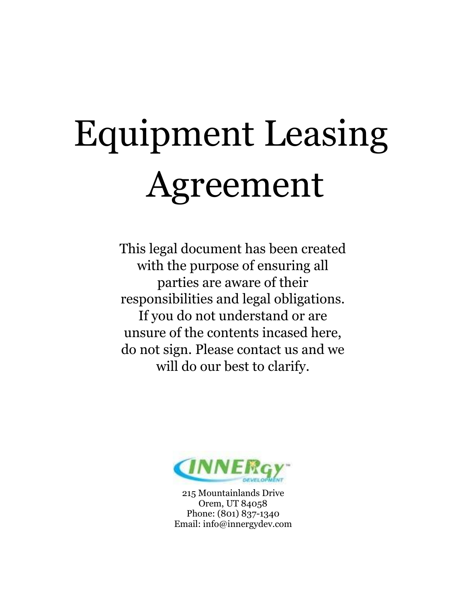# Equipment Leasing Agreement

This legal document has been created with the purpose of ensuring all parties are aware of their responsibilities and legal obligations. If you do not understand or are unsure of the contents incased here, do not sign. Please contact us and we will do our best to clarify.



215 Mountainlands Drive Orem, UT 84058 Phone: (801) 837-1340 Email: info@innergydev.com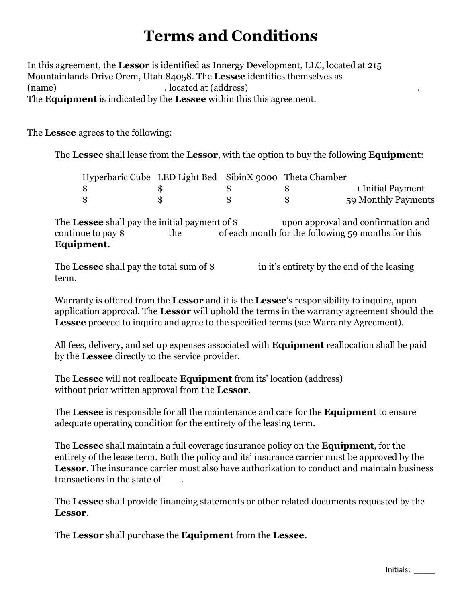## **Terms and Conditions**

In this agreement, the **Lessor** is identified as Innergy Development, LLC, located at 215 Mountainlands Drive Orem, Utah 84058. The **Lessee** identifies themselves as (name) , located at (address) The **Equipment** is indicated by the **Lessee** within this this agreement.

The **Lessee** agrees to the following:

The **Lessee** shall lease from the **Lessor**, with the option to buy the following **Equipment**:

| Hyperbaric Cube LED Light Bed SibinX 9000 Theta Chamber |  |                     |
|---------------------------------------------------------|--|---------------------|
| -86                                                     |  | 1 Initial Payment   |
| $\mathbf{\$}$                                           |  | 59 Monthly Payments |

The **Lessee** shall pay the initial payment of \$ upon approval and confirmation and continue to pay \$ the of each month for the following 59 months for this **Equipment.** 

The Lessee shall pay the total sum of \$ in it's entirety by the end of the leasing term.

Warranty is offered from the **Lessor** and it is the **Lessee**'s responsibility to inquire, upon application approval. The **Lessor** will uphold the terms in the warranty agreement should the **Lessee** proceed to inquire and agree to the specified terms (see Warranty Agreement).

All fees, delivery, and set up expenses associated with **Equipment** reallocation shall be paid by the **Lessee** directly to the service provider.

The **Lessee** will not reallocate **Equipment** from its' location (address) without prior written approval from the **Lessor**.

The **Lessee** is responsible for all the maintenance and care for the **Equipment** to ensure adequate operating condition for the entirety of the leasing term.

The **Lessee** shall maintain a full coverage insurance policy on the **Equipment**, for the entirety of the lease term. Both the policy and its' insurance carrier must be approved by the **Lessor**. The insurance carrier must also have authorization to conduct and maintain business transactions in the state of .

The **Lessee** shall provide financing statements or other related documents requested by the **Lessor**.

The **Lessor** shall purchase the **Equipment** from the **Lessee.**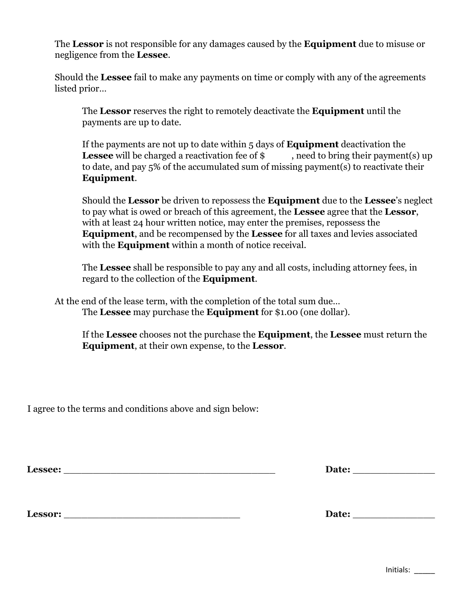The **Lessor** is not responsible for any damages caused by the **Equipment** due to misuse or negligence from the **Lessee**.

Should the **Lessee** fail to make any payments on time or comply with any of the agreements listed prior…

The **Lessor** reserves the right to remotely deactivate the **Equipment** until the payments are up to date.

If the payments are not up to date within 5 days of **Equipment** deactivation the **Lessee** will be charged a reactivation fee of \$ , need to bring their payment(s) up to date, and pay  $5\%$  of the accumulated sum of missing payment(s) to reactivate their **Equipment**.

Should the **Lessor** be driven to repossess the **Equipment** due to the **Lessee**'s neglect to pay what is owed or breach of this agreement, the **Lessee** agree that the **Lessor**, with at least 24 hour written notice, may enter the premises, repossess the **Equipment**, and be recompensed by the **Lessee** for all taxes and levies associated with the **Equipment** within a month of notice receival.

The **Lessee** shall be responsible to pay any and all costs, including attorney fees, in regard to the collection of the **Equipment**.

At the end of the lease term, with the completion of the total sum due… The **Lessee** may purchase the **Equipment** for \$1.00 (one dollar).

If the **Lessee** chooses not the purchase the **Equipment**, the **Lessee** must return the **Equipment**, at their own expense, to the **Lessor**.

I agree to the terms and conditions above and sign below:

Lessee: <u>Date:</u> **Date: Date: Date: Date: Date: Date: Date: Date: Date: Date: Date: Date: Date: Date: Date: Date: Date: Date: Date: Date: Date: Date: Date: Date: Date: Date:** 

**Lessor:** \_\_\_\_\_\_\_\_\_\_\_\_\_\_\_\_\_\_\_\_\_\_\_\_\_\_\_\_\_\_ **Date:** \_\_\_\_\_\_\_\_\_\_\_\_\_\_

Initials: \_\_\_\_\_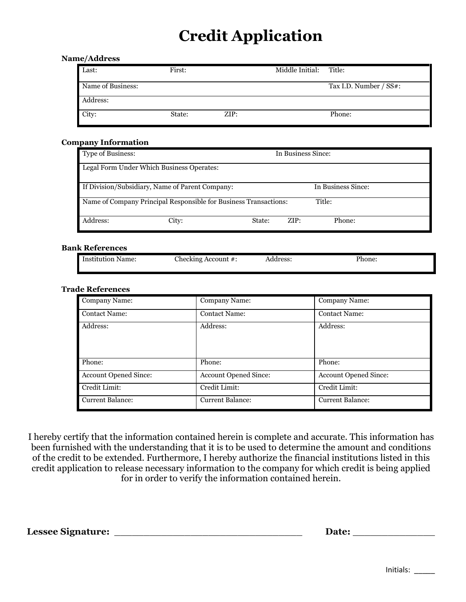# **Credit Application**

#### **Name/Address**

| Last:             | First: |      | Middle Initial: Title: |                        |
|-------------------|--------|------|------------------------|------------------------|
| Name of Business: |        |      |                        | Tax I.D. Number / SS#: |
| Address:          |        |      |                        |                        |
| City:             | State: | ZIP: |                        | Phone:                 |

#### **Company Information**

| Type of Business:                                                          |                                                 |        | In Business Since: |                    |  |
|----------------------------------------------------------------------------|-------------------------------------------------|--------|--------------------|--------------------|--|
|                                                                            | Legal Form Under Which Business Operates:       |        |                    |                    |  |
|                                                                            | If Division/Subsidiary, Name of Parent Company: |        |                    | In Business Since: |  |
| Name of Company Principal Responsible for Business Transactions:<br>Title: |                                                 |        |                    |                    |  |
| Address:                                                                   | City:                                           | State: | ZIP:               | Phone:             |  |

#### **Bank References**

| ∎ Institution<br>Name: | : Account #:<br>.'hecking | Address: | Phone: |
|------------------------|---------------------------|----------|--------|
|                        |                           | -------- | _____  |
|                        |                           |          |        |

#### **Trade References**

| Company Name:                | Company Name:                | Company Name:                |
|------------------------------|------------------------------|------------------------------|
| <b>Contact Name:</b>         | <b>Contact Name:</b>         | <b>Contact Name:</b>         |
| Address:                     | Address:                     | Address:                     |
| Phone:                       | Phone:                       | Phone:                       |
| <b>Account Opened Since:</b> | <b>Account Opened Since:</b> | <b>Account Opened Since:</b> |
| Credit Limit:                | Credit Limit:                | Credit Limit:                |
| <b>Current Balance:</b>      | <b>Current Balance:</b>      | <b>Current Balance:</b>      |

I hereby certify that the information contained herein is complete and accurate. This information has been furnished with the understanding that it is to be used to determine the amount and conditions of the credit to be extended. Furthermore, I hereby authorize the financial institutions listed in this credit application to release necessary information to the company for which credit is being applied for in order to verify the information contained herein.

**Lessee Signature:** \_\_\_\_\_\_\_\_\_\_\_\_\_\_\_\_\_\_\_\_\_\_\_\_\_\_\_\_\_\_\_\_ **Date:** \_\_\_\_\_\_\_\_\_\_\_\_\_\_